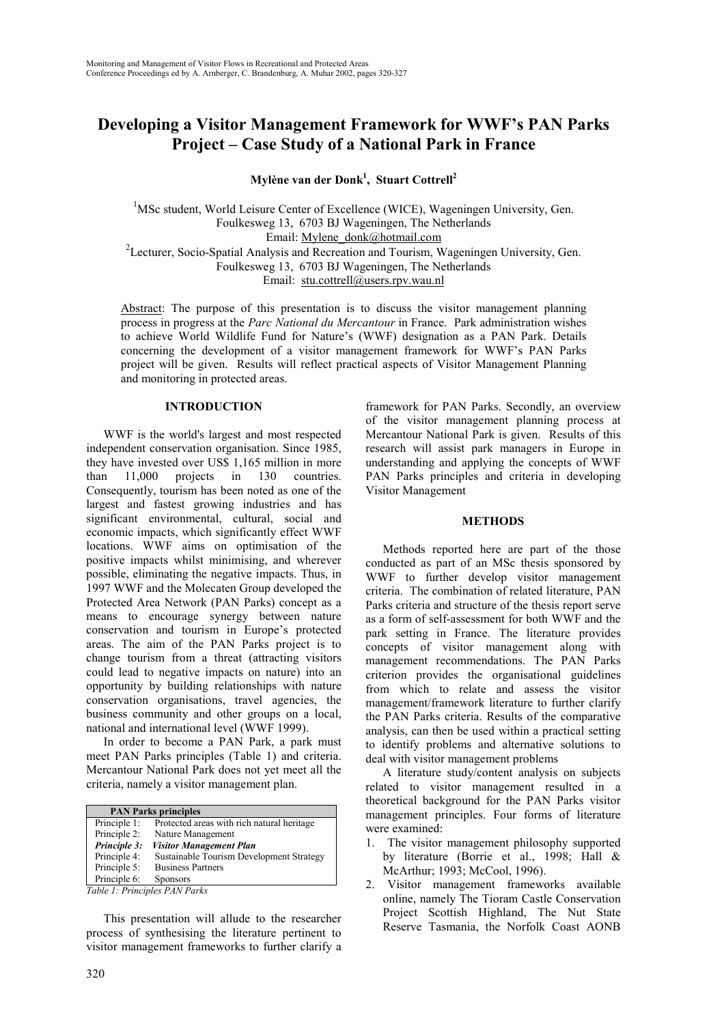# **Developing a Visitor Management Framework for WWF's PAN Parks Project – Case Study of a National Park in France**

**Mylène van der Donk1 , Stuart Cottrell2**

<sup>1</sup>MSc student, World Leisure Center of Excellence (WICE), Wageningen University, Gen. Foulkesweg 13, 6703 BJ Wageningen, The Netherlands Email: Mylene\_donk@hotmail.com <sup>2</sup>Lecturer, Socio-Spatial Analysis and Recreation and Tourism, Wageningen University, Gen. Foulkesweg 13, 6703 BJ Wageningen, The Netherlands Email: stu.cottrell@users.rpv.wau.nl

Abstract: The purpose of this presentation is to discuss the visitor management planning process in progress at the *Parc National du Mercantour* in France. Park administration wishes to achieve World Wildlife Fund for Nature's (WWF) designation as a PAN Park. Details concerning the development of a visitor management framework for WWF's PAN Parks project will be given. Results will reflect practical aspects of Visitor Management Planning and monitoring in protected areas.

## **INTRODUCTION**

WWF is the world's largest and most respected independent conservation organisation. Since 1985, they have invested over US\$ 1,165 million in more than 11,000 projects in 130 countries. Consequently, tourism has been noted as one of the largest and fastest growing industries and has significant environmental, cultural, social and economic impacts, which significantly effect WWF locations. WWF aims on optimisation of the positive impacts whilst minimising, and wherever possible, eliminating the negative impacts. Thus, in 1997 WWF and the Molecaten Group developed the Protected Area Network (PAN Parks) concept as a means to encourage synergy between nature conservation and tourism in Europe's protected areas. The aim of the PAN Parks project is to change tourism from a threat (attracting visitors could lead to negative impacts on nature) into an opportunity by building relationships with nature conservation organisations, travel agencies, the business community and other groups on a local, national and international level (WWF 1999).

In order to become a PAN Park, a park must meet PAN Parks principles (Table 1) and criteria. Mercantour National Park does not yet meet all the criteria, namely a visitor management plan.

| <b>PAN Parks principles</b> |                                            |  |
|-----------------------------|--------------------------------------------|--|
| Principle 1:                | Protected areas with rich natural heritage |  |
| Principle 2:                | Nature Management                          |  |
| Principle 3:                | <b>Visitor Management Plan</b>             |  |
| Principle 4:                | Sustainable Tourism Development Strategy   |  |
| Principle 5:                | <b>Business Partners</b>                   |  |
| Principle 6:                | <b>Sponsors</b>                            |  |

*Table 1: Principles PAN Parks*

This presentation will allude to the researcher process of synthesising the literature pertinent to visitor management frameworks to further clarify a

framework for PAN Parks. Secondly, an overview of the visitor management planning process at Mercantour National Park is given. Results of this research will assist park managers in Europe in understanding and applying the concepts of WWF PAN Parks principles and criteria in developing Visitor Management

## **METHODS**

Methods reported here are part of the those conducted as part of an MSc thesis sponsored by WWF to further develop visitor management criteria. The combination of related literature, PAN Parks criteria and structure of the thesis report serve as a form of self-assessment for both WWF and the park setting in France. The literature provides concepts of visitor management along with management recommendations. The PAN Parks criterion provides the organisational guidelines from which to relate and assess the visitor management/framework literature to further clarify the PAN Parks criteria. Results of the comparative analysis, can then be used within a practical setting to identify problems and alternative solutions to deal with visitor management problems

A literature study/content analysis on subjects related to visitor management resulted in a theoretical background for the PAN Parks visitor management principles. Four forms of literature were examined:

- 1. The visitor management philosophy supported by literature (Borrie et al., 1998; Hall & McArthur; 1993; McCool, 1996).
- 2. Visitor management frameworks available online, namely The Tioram Castle Conservation Project Scottish Highland, The Nut State Reserve Tasmania, the Norfolk Coast AONB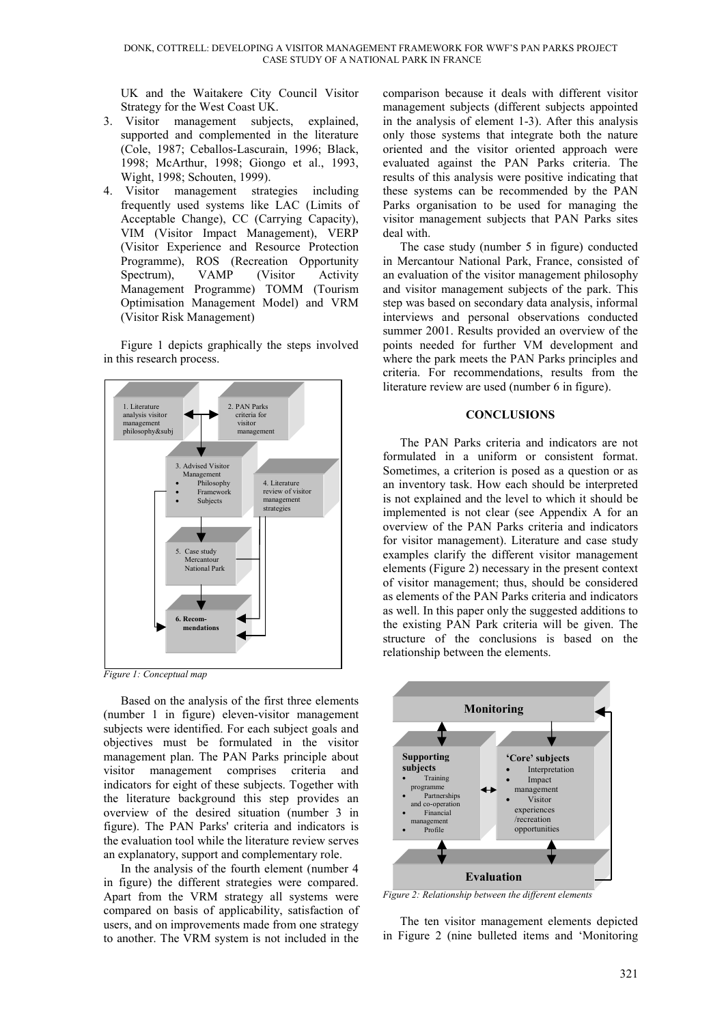UK and the Waitakere City Council Visitor Strategy for the West Coast UK.

- 3. Visitor management subjects, explained, supported and complemented in the literature (Cole, 1987; Ceballos-Lascurain, 1996; Black, 1998; McArthur, 1998; Giongo et al., 1993, Wight, 1998; Schouten, 1999).
- 4. Visitor management strategies including frequently used systems like LAC (Limits of Acceptable Change), CC (Carrying Capacity), VIM (Visitor Impact Management), VERP (Visitor Experience and Resource Protection Programme), ROS (Recreation Opportunity Spectrum), VAMP (Visitor Activity Management Programme) TOMM (Tourism Optimisation Management Model) and VRM (Visitor Risk Management)

Figure 1 depicts graphically the steps involved in this research process.



*Figure 1: Conceptual map*

Based on the analysis of the first three elements (number 1 in figure) eleven-visitor management subjects were identified. For each subject goals and objectives must be formulated in the visitor management plan. The PAN Parks principle about visitor management comprises criteria and indicators for eight of these subjects. Together with the literature background this step provides an overview of the desired situation (number 3 in figure). The PAN Parks' criteria and indicators is the evaluation tool while the literature review serves an explanatory, support and complementary role.

In the analysis of the fourth element (number 4 in figure) the different strategies were compared. Apart from the VRM strategy all systems were compared on basis of applicability, satisfaction of users, and on improvements made from one strategy to another. The VRM system is not included in the comparison because it deals with different visitor management subjects (different subjects appointed in the analysis of element 1-3). After this analysis only those systems that integrate both the nature oriented and the visitor oriented approach were evaluated against the PAN Parks criteria. The results of this analysis were positive indicating that these systems can be recommended by the PAN Parks organisation to be used for managing the visitor management subjects that PAN Parks sites deal with.

The case study (number 5 in figure) conducted in Mercantour National Park, France, consisted of an evaluation of the visitor management philosophy and visitor management subjects of the park. This step was based on secondary data analysis, informal interviews and personal observations conducted summer 2001. Results provided an overview of the points needed for further VM development and where the park meets the PAN Parks principles and criteria. For recommendations, results from the literature review are used (number 6 in figure).

#### **CONCLUSIONS**

The PAN Parks criteria and indicators are not formulated in a uniform or consistent format. Sometimes, a criterion is posed as a question or as an inventory task. How each should be interpreted is not explained and the level to which it should be implemented is not clear (see Appendix A for an overview of the PAN Parks criteria and indicators for visitor management). Literature and case study examples clarify the different visitor management elements (Figure 2) necessary in the present context of visitor management; thus, should be considered as elements of the PAN Parks criteria and indicators as well. In this paper only the suggested additions to the existing PAN Park criteria will be given. The structure of the conclusions is based on the relationship between the elements.



*Figure 2: Relationship between the different elements*

The ten visitor management elements depicted in Figure 2 (nine bulleted items and 'Monitoring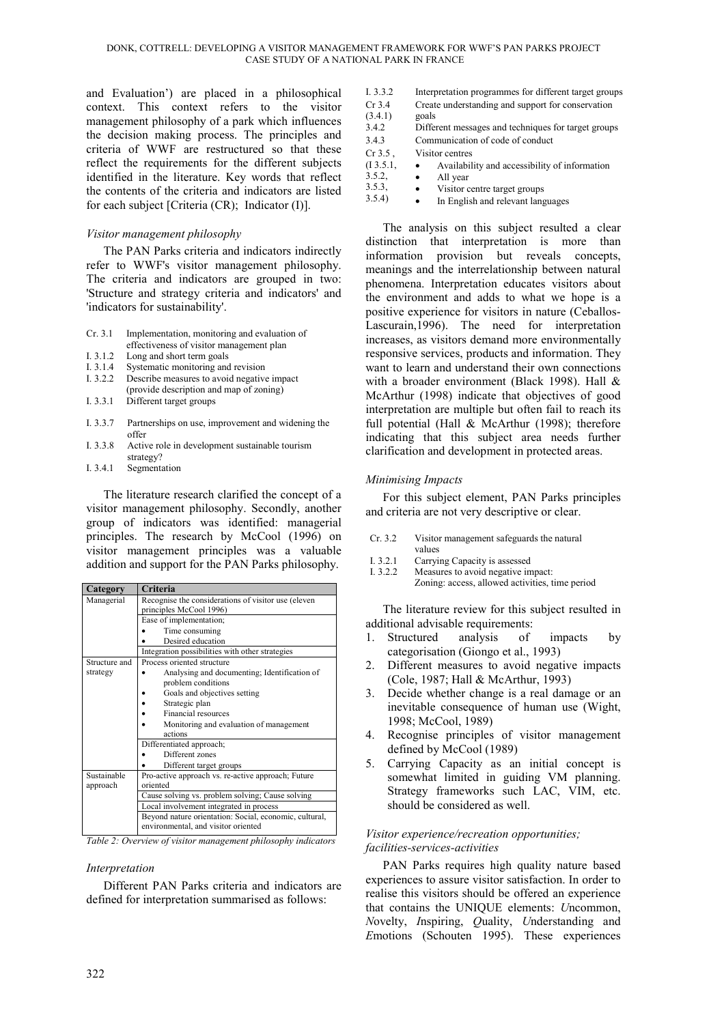and Evaluation') are placed in a philosophical context. This context refers to the visitor management philosophy of a park which influences the decision making process. The principles and criteria of WWF are restructured so that these reflect the requirements for the different subjects identified in the literature. Key words that reflect the contents of the criteria and indicators are listed for each subject [Criteria (CR); Indicator (I)].

# *Visitor management philosophy*

The PAN Parks criteria and indicators indirectly refer to WWF's visitor management philosophy. The criteria and indicators are grouped in two: 'Structure and strategy criteria and indicators' and 'indicators for sustainability'.

- Cr. 3.1 Implementation, monitoring and evaluation of effectiveness of visitor management plan
- I. 3.1.2 Long and short term goals
- I. 3.1.4 Systematic monitoring and revision
- I. 3.2.2 Describe measures to avoid negative impact
- (provide description and map of zoning) I. 3.3.1 Different target groups
- I. 3.3.7 Partnerships on use, improvement and widening the offer
- I. 3.3.8 Active role in development sustainable tourism strategy?
- I. 3.4.1 Segmentation

The literature research clarified the concept of a visitor management philosophy. Secondly, another group of indicators was identified: managerial principles. The research by McCool (1996) on visitor management principles was a valuable addition and support for the PAN Parks philosophy.

| Category      | Criteria                                                           |  |  |  |  |  |
|---------------|--------------------------------------------------------------------|--|--|--|--|--|
| Managerial    | Recognise the considerations of visitor use (eleven                |  |  |  |  |  |
|               | principles McCool 1996)                                            |  |  |  |  |  |
|               | Ease of implementation;                                            |  |  |  |  |  |
|               | Time consuming                                                     |  |  |  |  |  |
|               | Desired education                                                  |  |  |  |  |  |
|               | Integration possibilities with other strategies                    |  |  |  |  |  |
| Structure and | Process oriented structure                                         |  |  |  |  |  |
| strategy      | Analysing and documenting; Identification of<br>problem conditions |  |  |  |  |  |
|               | Goals and objectives setting                                       |  |  |  |  |  |
|               | Strategic plan                                                     |  |  |  |  |  |
|               | Financial resources                                                |  |  |  |  |  |
|               | Monitoring and evaluation of management                            |  |  |  |  |  |
|               | actions                                                            |  |  |  |  |  |
|               | Differentiated approach;                                           |  |  |  |  |  |
|               | Different zones                                                    |  |  |  |  |  |
|               | Different target groups                                            |  |  |  |  |  |
| Sustainable   | Pro-active approach vs. re-active approach; Future                 |  |  |  |  |  |
| approach      | oriented                                                           |  |  |  |  |  |
|               | Cause solving vs. problem solving; Cause solving                   |  |  |  |  |  |
|               | Local involvement integrated in process                            |  |  |  |  |  |
|               | Beyond nature orientation: Social, economic, cultural,             |  |  |  |  |  |
|               | environmental, and visitor oriented                                |  |  |  |  |  |

*Table 2: Overview of visitor management philosophy indicators*

# *Interpretation*

Different PAN Parks criteria and indicators are defined for interpretation summarised as follows:

| I. 3.3.2  | Interpretation programmes for different target groups |
|-----------|-------------------------------------------------------|
| $Cr$ 3.4  | Create understanding and support for conservation     |
| (3.4.1)   | goals                                                 |
| 3.4.2     | Different messages and techniques for target groups   |
| 3.4.3     | Communication of code of conduct                      |
| $Cr3.5$ . | Visitor centres                                       |
| (I3.5.1,  | Availability and accessibility of information         |
| 3.5.2     | All year                                              |
| 3.5.3,    | Visitor centre target groups                          |
| 2.5.41    |                                                       |

3.5.4) In English and relevant languages

The analysis on this subject resulted a clear distinction that interpretation is more than information provision but reveals concepts, meanings and the interrelationship between natural phenomena. Interpretation educates visitors about the environment and adds to what we hope is a positive experience for visitors in nature (Ceballos-Lascurain,1996). The need for interpretation increases, as visitors demand more environmentally responsive services, products and information. They want to learn and understand their own connections with a broader environment (Black 1998). Hall & McArthur (1998) indicate that objectives of good interpretation are multiple but often fail to reach its full potential (Hall & McArthur (1998); therefore indicating that this subject area needs further clarification and development in protected areas.

## *Minimising Impacts*

For this subject element, PAN Parks principles and criteria are not very descriptive or clear.

- Cr. 3.2 Visitor management safeguards the natural values
- 
- I. 3.2.1 Carrying Capacity is assessed<br>I. 3.2.2 Measures to avoid negative in Measures to avoid negative impact: Zoning: access, allowed activities, time period

The literature review for this subject resulted in additional advisable requirements:

- 1. Structured analysis of impacts by categorisation (Giongo et al., 1993)
- 2. Different measures to avoid negative impacts (Cole, 1987; Hall & McArthur, 1993)
- 3. Decide whether change is a real damage or an inevitable consequence of human use (Wight, 1998; McCool, 1989)
- 4. Recognise principles of visitor management defined by McCool (1989)
- 5. Carrying Capacity as an initial concept is somewhat limited in guiding VM planning. Strategy frameworks such LAC, VIM, etc. should be considered as well.

## *Visitor experience/recreation opportunities; facilities-services-activities*

PAN Parks requires high quality nature based experiences to assure visitor satisfaction. In order to realise this visitors should be offered an experience that contains the UNIQUE elements: *U*ncommon, *N*ovelty, *I*nspiring, *Q*uality, *U*nderstanding and *E*motions (Schouten 1995). These experiences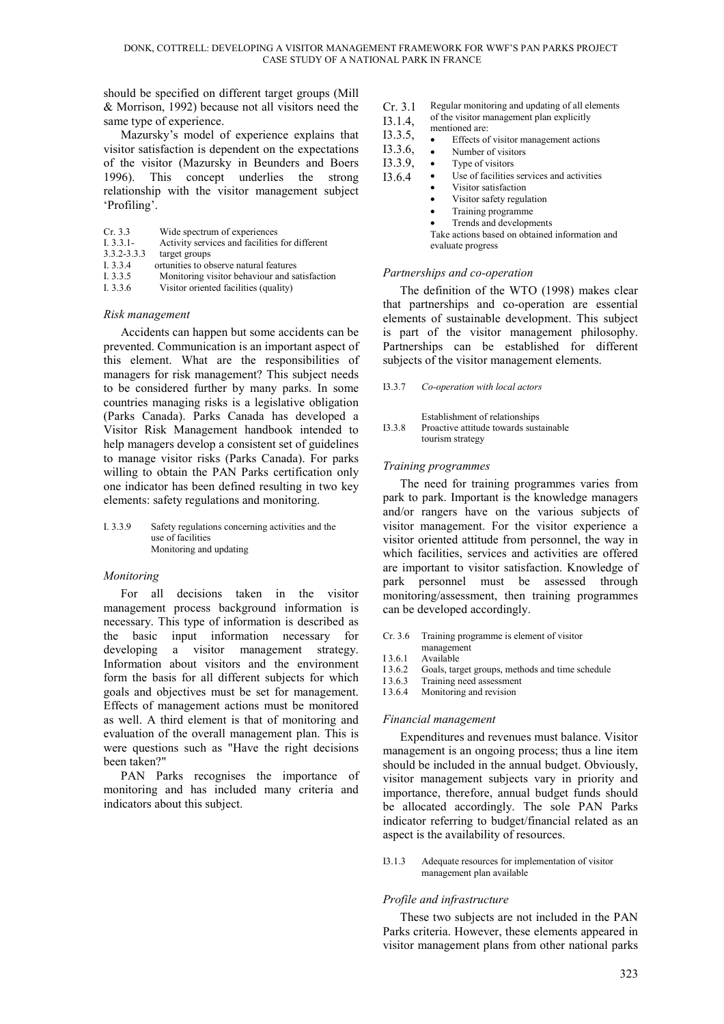should be specified on different target groups (Mill & Morrison, 1992) because not all visitors need the same type of experience.

Mazursky's model of experience explains that visitor satisfaction is dependent on the expectations of the visitor (Mazursky in Beunders and Boers 1996). This concept underlies the strong relationship with the visitor management subject 'Profiling'.

- Cr. 3.3 Wide spectrum of experiences
- I. 3.3.1- Activity services and facilities for different
- 3.3.2-3.3.3 target groups
- I. 3.3.4 ortunities to observe natural features
- I. 3.3.5 Monitoring visitor behaviour and satisfaction<br>I. 3.3.6 Visitor oriented facilities (quality)
- Visitor oriented facilities (quality)

## *Risk management*

Accidents can happen but some accidents can be prevented. Communication is an important aspect of this element. What are the responsibilities of managers for risk management? This subject needs to be considered further by many parks. In some countries managing risks is a legislative obligation (Parks Canada). Parks Canada has developed a Visitor Risk Management handbook intended to help managers develop a consistent set of guidelines to manage visitor risks (Parks Canada). For parks willing to obtain the PAN Parks certification only one indicator has been defined resulting in two key elements: safety regulations and monitoring.

| I. 3.3.9 | Safety regulations concerning activities and the |
|----------|--------------------------------------------------|
|          | use of facilities                                |
|          | Monitoring and updating                          |

#### *Monitoring*

For all decisions taken in the visitor management process background information is necessary. This type of information is described as the basic input information necessary for developing a visitor management strategy. Information about visitors and the environment form the basis for all different subjects for which goals and objectives must be set for management. Effects of management actions must be monitored as well. A third element is that of monitoring and evaluation of the overall management plan. This is were questions such as "Have the right decisions been taken?"

PAN Parks recognises the importance of monitoring and has included many criteria and indicators about this subject.

- Cr. 3.1 Regular monitoring and updating of all elements
- I3.1.4, of the visitor management plan explicitly
- I3.3.5, mentioned are:
	- Effects of visitor management actions
- I3.3.6, Number of visitors
- I3.3.9, Type of visitors
- I3.6.4 Use of facilities services and activities
	- Visitor satisfaction
	- Visitor safety regulation
	- Training programme
	- Trends and developments

Take actions based on obtained information and evaluate progress

## *Partnerships and co-operation*

The definition of the WTO (1998) makes clear that partnerships and co-operation are essential elements of sustainable development. This subject is part of the visitor management philosophy. Partnerships can be established for different subjects of the visitor management elements.

#### I3.3.7 *Co-operation with local actors*

Establishment of relationships I3.3.8 Proactive attitude towards sustainable tourism strategy

#### *Training programmes*

The need for training programmes varies from park to park. Important is the knowledge managers and/or rangers have on the various subjects of visitor management. For the visitor experience a visitor oriented attitude from personnel, the way in which facilities, services and activities are offered are important to visitor satisfaction. Knowledge of park personnel must be assessed through monitoring/assessment, then training programmes can be developed accordingly.

- Cr. 3.6 Training programme is element of visitor
- management
- I 3.6.1 Available
- I 3.6.2 Goals, target groups, methods and time schedule<br>I 3.6.3 Training need assessment
- Training need assessment
- I 3.6.4 Monitoring and revision

#### *Financial management*

Expenditures and revenues must balance. Visitor management is an ongoing process; thus a line item should be included in the annual budget. Obviously, visitor management subjects vary in priority and importance, therefore, annual budget funds should be allocated accordingly. The sole PAN Parks indicator referring to budget/financial related as an aspect is the availability of resources.

I3.1.3 Adequate resources for implementation of visitor management plan available

## *Profile and infrastructure*

These two subjects are not included in the PAN Parks criteria. However, these elements appeared in visitor management plans from other national parks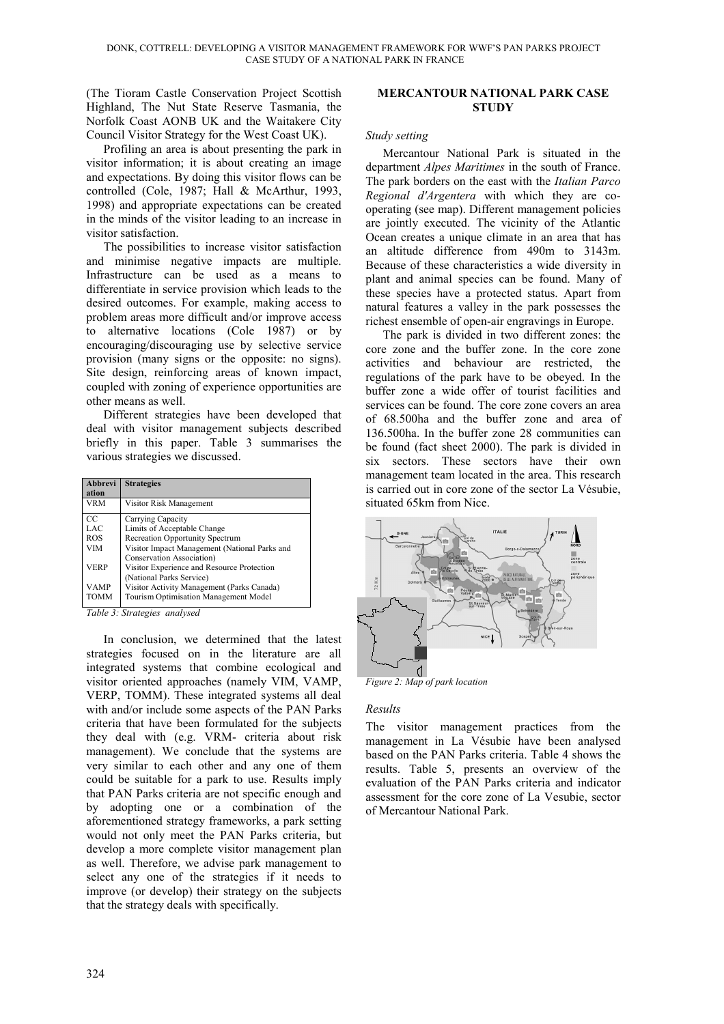(The Tioram Castle Conservation Project Scottish Highland, The Nut State Reserve Tasmania, the Norfolk Coast AONB UK and the Waitakere City Council Visitor Strategy for the West Coast UK).

Profiling an area is about presenting the park in visitor information; it is about creating an image and expectations. By doing this visitor flows can be controlled (Cole, 1987; Hall & McArthur, 1993, 1998) and appropriate expectations can be created in the minds of the visitor leading to an increase in visitor satisfaction.

The possibilities to increase visitor satisfaction and minimise negative impacts are multiple. Infrastructure can be used as a means to differentiate in service provision which leads to the desired outcomes. For example, making access to problem areas more difficult and/or improve access to alternative locations (Cole 1987) or by encouraging/discouraging use by selective service provision (many signs or the opposite: no signs). Site design, reinforcing areas of known impact, coupled with zoning of experience opportunities are other means as well.

Different strategies have been developed that deal with visitor management subjects described briefly in this paper. Table 3 summarises the various strategies we discussed.

| <b>Abbrevi</b><br>ation | <b>Strategies</b>                             |
|-------------------------|-----------------------------------------------|
| <b>VRM</b>              | Visitor Risk Management                       |
| CC                      | Carrying Capacity                             |
| LAC                     | Limits of Acceptable Change                   |
| <b>ROS</b>              | <b>Recreation Opportunity Spectrum</b>        |
| VIM                     | Visitor Impact Management (National Parks and |
|                         | Conservation Association)                     |
| <b>VERP</b>             | Visitor Experience and Resource Protection    |
|                         | (National Parks Service)                      |
| VAMP                    | Visitor Activity Management (Parks Canada)    |
| <b>TOMM</b>             | Tourism Optimisation Management Model         |

*Table 3: Strategies analysed*

In conclusion, we determined that the latest strategies focused on in the literature are all integrated systems that combine ecological and visitor oriented approaches (namely VIM, VAMP, VERP, TOMM). These integrated systems all deal with and/or include some aspects of the PAN Parks criteria that have been formulated for the subjects they deal with (e.g. VRM- criteria about risk management). We conclude that the systems are very similar to each other and any one of them could be suitable for a park to use. Results imply that PAN Parks criteria are not specific enough and by adopting one or a combination of the aforementioned strategy frameworks, a park setting would not only meet the PAN Parks criteria, but develop a more complete visitor management plan as well. Therefore, we advise park management to select any one of the strategies if it needs to improve (or develop) their strategy on the subjects that the strategy deals with specifically.

## **MERCANTOUR NATIONAL PARK CASE STUDY**

#### *Study setting*

Mercantour National Park is situated in the department *Alpes Maritimes* in the south of France. The park borders on the east with the *Italian Parco Regional d'Argentera* with which they are cooperating (see map). Different management policies are jointly executed. The vicinity of the Atlantic Ocean creates a unique climate in an area that has an altitude difference from 490m to 3143m. Because of these characteristics a wide diversity in plant and animal species can be found. Many of these species have a protected status. Apart from natural features a valley in the park possesses the richest ensemble of open-air engravings in Europe.

The park is divided in two different zones: the core zone and the buffer zone. In the core zone activities and behaviour are restricted, the regulations of the park have to be obeyed. In the buffer zone a wide offer of tourist facilities and services can be found. The core zone covers an area of 68.500ha and the buffer zone and area of 136.500ha. In the buffer zone 28 communities can be found (fact sheet 2000). The park is divided in six sectors. These sectors have their own management team located in the area. This research is carried out in core zone of the sector La Vésubie, situated 65km from Nice.



*Figure 2: Map of park location*

## *Results*

The visitor management practices from the management in La Vésubie have been analysed based on the PAN Parks criteria. Table 4 shows the results. Table 5, presents an overview of the evaluation of the PAN Parks criteria and indicator assessment for the core zone of La Vesubie, sector of Mercantour National Park.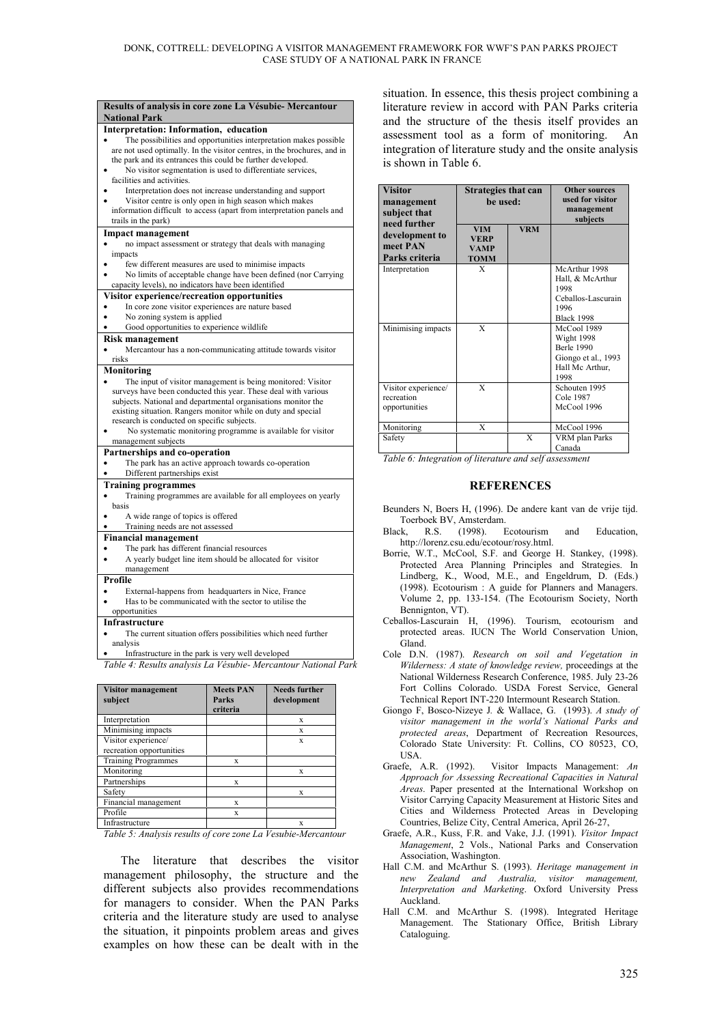| Results of analysis in core zone La Vésubie-Mercantour<br><b>National Park</b>                                                                                                                                                                                             |
|----------------------------------------------------------------------------------------------------------------------------------------------------------------------------------------------------------------------------------------------------------------------------|
| Interpretation: Information, education                                                                                                                                                                                                                                     |
| The possibilities and opportunities interpretation makes possible<br>are not used optimally. In the visitor centres, in the brochures, and in<br>the park and its entrances this could be further developed.<br>No visitor segmentation is used to differentiate services, |
| facilities and activities.                                                                                                                                                                                                                                                 |
| Interpretation does not increase understanding and support<br>Visitor centre is only open in high season which makes                                                                                                                                                       |
| information difficult to access (apart from interpretation panels and<br>trails in the park)                                                                                                                                                                               |
| Impact management                                                                                                                                                                                                                                                          |
| no impact assessment or strategy that deals with managing                                                                                                                                                                                                                  |
| impacts                                                                                                                                                                                                                                                                    |
| few different measures are used to minimise impacts                                                                                                                                                                                                                        |
| No limits of acceptable change have been defined (nor Carrying                                                                                                                                                                                                             |
| capacity levels), no indicators have been identified                                                                                                                                                                                                                       |
| Visitor experience/recreation opportunities                                                                                                                                                                                                                                |
| In core zone visitor experiences are nature based                                                                                                                                                                                                                          |
| No zoning system is applied                                                                                                                                                                                                                                                |
| Good opportunities to experience wildlife                                                                                                                                                                                                                                  |
| Risk management                                                                                                                                                                                                                                                            |
| Mercantour has a non-communicating attitude towards visitor                                                                                                                                                                                                                |
| risks                                                                                                                                                                                                                                                                      |
| Monitoring                                                                                                                                                                                                                                                                 |
| The input of visitor management is being monitored: Visitor                                                                                                                                                                                                                |
| surveys have been conducted this year. These deal with various                                                                                                                                                                                                             |
| subjects. National and departmental organisations monitor the                                                                                                                                                                                                              |
| existing situation. Rangers monitor while on duty and special                                                                                                                                                                                                              |
| research is conducted on specific subjects.                                                                                                                                                                                                                                |
| No systematic monitoring programme is available for visitor                                                                                                                                                                                                                |
| management subjects                                                                                                                                                                                                                                                        |
| Partnerships and co-operation                                                                                                                                                                                                                                              |
| The park has an active approach towards co-operation                                                                                                                                                                                                                       |
| Different partnerships exist                                                                                                                                                                                                                                               |
|                                                                                                                                                                                                                                                                            |
| <b>Training programmes</b>                                                                                                                                                                                                                                                 |
| Training programmes are available for all employees on yearly                                                                                                                                                                                                              |
| basis                                                                                                                                                                                                                                                                      |
| A wide range of topics is offered                                                                                                                                                                                                                                          |
| Training needs are not assessed                                                                                                                                                                                                                                            |
| <b>Financial management</b>                                                                                                                                                                                                                                                |
| The park has different financial resources                                                                                                                                                                                                                                 |
| A yearly budget line item should be allocated for visitor                                                                                                                                                                                                                  |
| management                                                                                                                                                                                                                                                                 |
| Profile                                                                                                                                                                                                                                                                    |
| External-happens from headquarters in Nice, France                                                                                                                                                                                                                         |
| Has to be communicated with the sector to utilise the                                                                                                                                                                                                                      |
| opportunities                                                                                                                                                                                                                                                              |
| Infrastructure                                                                                                                                                                                                                                                             |
| The current situation offers possibilities which need further                                                                                                                                                                                                              |
| analysis                                                                                                                                                                                                                                                                   |
| Infrastructure in the park is very well developed                                                                                                                                                                                                                          |
| Table 4: Results analysis La Vésubie- Mercantour National Park                                                                                                                                                                                                             |

| <b>Visitor management</b><br>subject            | <b>Meets PAN</b><br><b>Parks</b><br>criteria | <b>Needs further</b><br>development |
|-------------------------------------------------|----------------------------------------------|-------------------------------------|
| Interpretation                                  |                                              | X                                   |
| Minimising impacts                              |                                              | X                                   |
| Visitor experience/<br>recreation opportunities |                                              | X                                   |
| <b>Training Programmes</b>                      | X                                            |                                     |
| Monitoring                                      |                                              | X                                   |
| Partnerships                                    | X                                            |                                     |
| Safety                                          |                                              | X                                   |
| Financial management                            | X                                            |                                     |
| Profile                                         | X                                            |                                     |
| Infrastructure<br>_ _ _ _ . _<br>$\sim$         |                                              | x<br><br>$\sim$<br>. .              |

*Table 5: Analysis results of core zone La Vesubie-Mercantour*

The literature that describes the visitor management philosophy, the structure and the different subjects also provides recommendations for managers to consider. When the PAN Parks criteria and the literature study are used to analyse the situation, it pinpoints problem areas and gives examples on how these can be dealt with in the situation. In essence, this thesis project combining a literature review in accord with PAN Parks criteria and the structure of the thesis itself provides an assessment tool as a form of monitoring. An integration of literature study and the onsite analysis is shown in Table 6.

| <b>Visitor</b><br>management<br>subject that<br>need further | <b>Strategies that can</b><br>be used:                  |            | <b>Other sources</b><br>used for visitor<br>management<br>subjects                               |
|--------------------------------------------------------------|---------------------------------------------------------|------------|--------------------------------------------------------------------------------------------------|
| development to<br>meet PAN<br>Parks criteria                 | <b>VIM</b><br><b>VERP</b><br><b>VAMP</b><br><b>TOMM</b> | <b>VRM</b> |                                                                                                  |
| Interpretation                                               | X                                                       |            | McArthur 1998<br>Hall, & McArthur<br>1998<br>Ceballos-Lascurain<br>1996<br><b>Black 1998</b>     |
| Minimising impacts                                           | X                                                       |            | McCool 1989<br>Wight 1998<br><b>Berle 1990</b><br>Giongo et al., 1993<br>Hall Mc Arthur,<br>1998 |
| Visitor experience/<br>recreation<br>opportunities           | X                                                       |            | Schouten 1995<br>Cole 1987<br>McCool 1996                                                        |
| Monitoring<br>Safety                                         | X                                                       | X          | McCool 1996<br>VRM plan Parks<br>Canada                                                          |

*Table 6: Integration of literature and self assessment*

## **REFERENCES**

- Beunders N, Boers H, (1996). De andere kant van de vrije tijd. Toerboek BV, Amsterdam.
- Black, R.S. (1998). Ecotourism and Education, http://lorenz.csu.edu/ecotour/rosy.html.
- Borrie, W.T., McCool, S.F. and George H. Stankey, (1998). Protected Area Planning Principles and Strategies. In Lindberg, K., Wood, M.E., and Engeldrum, D. (Eds.) (1998). Ecotourism : A guide for Planners and Managers. Volume 2, pp. 133-154. (The Ecotourism Society, North Bennignton, VT).
- Ceballos-Lascurain H, (1996). Tourism, ecotourism and protected areas. IUCN The World Conservation Union, Gland.
- Cole D.N. (1987). *Research on soil and Vegetation in Wilderness: A state of knowledge review,* proceedings at the National Wilderness Research Conference, 1985. July 23-26 Fort Collins Colorado. USDA Forest Service, General Technical Report INT-220 Intermount Research Station.
- Giongo F, Bosco-Nizeye J*.* & Wallace, G. (1993). *A study of visitor management in the world's National Parks and protected areas*, Department of Recreation Resources, Colorado State University: Ft. Collins, CO 80523, CO, USA.
- Graefe, A.R. (1992). Visitor Impacts Management: *An Approach for Assessing Recreational Capacities in Natural Areas*. Paper presented at the International Workshop on Visitor Carrying Capacity Measurement at Historic Sites and Cities and Wilderness Protected Areas in Developing Countries, Belize City, Central America, April 26-27,
- Graefe, A.R., Kuss, F.R. and Vake, J.J. (1991). *Visitor Impact Management*, 2 Vols., National Parks and Conservation Association, Washington.
- Hall C.M. and McArthur S. (1993). *Heritage management in new Zealand and Australia, visitor management, Interpretation and Marketing*. Oxford University Press Auckland.
- Hall C.M. and McArthur S. (1998). Integrated Heritage Management. The Stationary Office, British Library Cataloguing.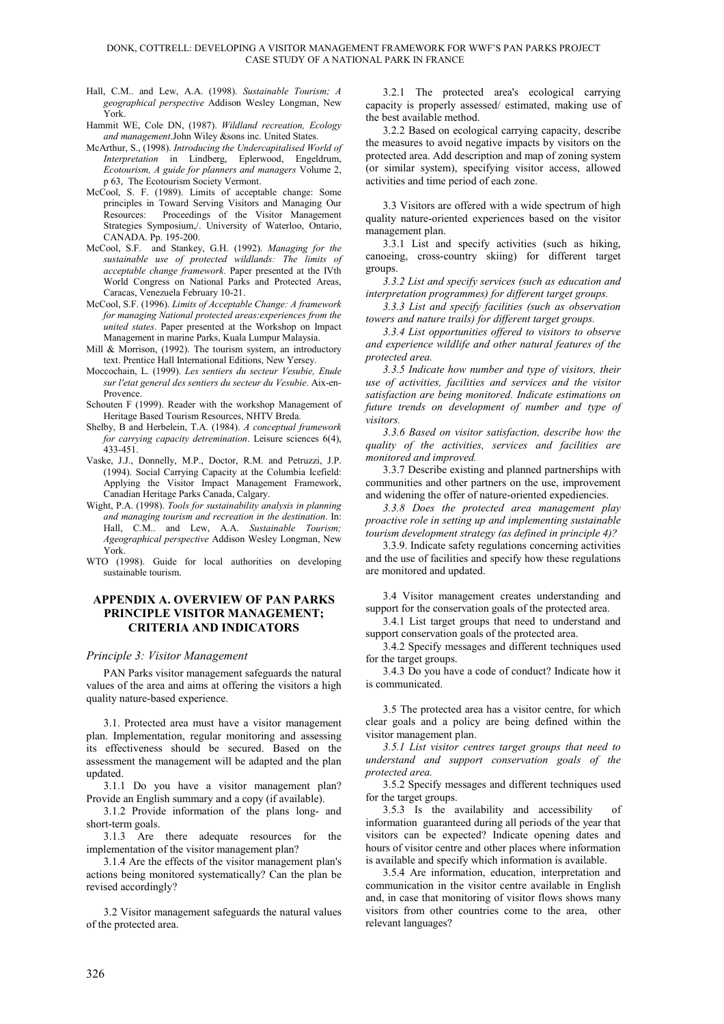#### DONK, COTTRELL: DEVELOPING A VISITOR MANAGEMENT FRAMEWORK FOR WWF'S PAN PARKS PROJECT CASE STUDY OF A NATIONAL PARK IN FRANCE

- Hall, C.M.. and Lew, A.A. (1998). *Sustainable Tourism; A geographical perspective* Addison Wesley Longman, New York.
- Hammit WE, Cole DN, (1987). *Wildland recreation, Ecology and management*.John Wiley &sons inc. United States.
- McArthur, S., (1998). *Introducing the Undercapitalised World of Interpretation* in Lindberg, Eplerwood, Engeldrum, *Ecotourism, A guide for planners and managers* Volume 2, p 63, The Ecotourism Society Vermont.
- McCool, S. F. (1989). Limits of acceptable change: Some principles in Toward Serving Visitors and Managing Our Resources: Proceedings of the Visitor Management Strategies Symposium,/. University of Waterloo, Ontario, CANADA. Pp. 195-200.
- McCool, S.F. and Stankey, G.H. (1992). *Managing for the sustainable use of protected wildlands: The limits of acceptable change framework*. Paper presented at the IVth World Congress on National Parks and Protected Areas, Caracas, Venezuela February 10-21.
- McCool, S.F. (1996). *Limits of Acceptable Change: A framework for managing National protected areas:experiences from the united states*. Paper presented at the Workshop on Impact Management in marine Parks, Kuala Lumpur Malaysia.
- Mill & Morrison, (1992). The tourism system, an introductory text. Prentice Hall International Editions, New Yersey.
- Moccochain, L. (1999). *Les sentiers du secteur Vesubie, Etude sur l'etat general des sentiers du secteur du Vesubie*. Aix-en-Provence.
- Schouten F (1999). Reader with the workshop Management of Heritage Based Tourism Resources, NHTV Breda.
- Shelby, B and Herbelein, T.A. (1984). *A conceptual framework for carrying capacity detremination*. Leisure sciences 6(4), 433-451.
- Vaske, J.J., Donnelly, M.P., Doctor, R.M. and Petruzzi, J.P. (1994). Social Carrying Capacity at the Columbia Icefield: Applying the Visitor Impact Management Framework, Canadian Heritage Parks Canada, Calgary.
- Wight, P.A. (1998). *Tools for sustainability analysis in planning and managing tourism and recreation in the destination*. In: Hall, C.M.. and Lew, A.A. *Sustainable Tourism; Ageographical perspective* Addison Wesley Longman, New York.
- WTO (1998). Guide for local authorities on developing sustainable tourism.

## **APPENDIX A. OVERVIEW OF PAN PARKS PRINCIPLE VISITOR MANAGEMENT; CRITERIA AND INDICATORS**

#### *Principle 3: Visitor Management*

PAN Parks visitor management safeguards the natural values of the area and aims at offering the visitors a high quality nature-based experience.

3.1. Protected area must have a visitor management plan. Implementation, regular monitoring and assessing its effectiveness should be secured. Based on the assessment the management will be adapted and the plan updated.

3.1.1 Do you have a visitor management plan? Provide an English summary and a copy (if available).

3.1.2 Provide information of the plans long- and short-term goals.

3.1.3 Are there adequate resources for the implementation of the visitor management plan?

3.1.4 Are the effects of the visitor management plan's actions being monitored systematically? Can the plan be revised accordingly?

3.2 Visitor management safeguards the natural values of the protected area.

3.2.1 The protected area's ecological carrying capacity is properly assessed/ estimated, making use of the best available method.

3.2.2 Based on ecological carrying capacity, describe the measures to avoid negative impacts by visitors on the protected area. Add description and map of zoning system (or similar system), specifying visitor access, allowed activities and time period of each zone.

3.3 Visitors are offered with a wide spectrum of high quality nature-oriented experiences based on the visitor management plan.

3.3.1 List and specify activities (such as hiking, canoeing, cross-country skiing) for different target groups.

*3.3.2 List and specify services (such as education and interpretation programmes) for different target groups.*

*3.3.3 List and specify facilities (such as observation towers and nature trails) for different target groups.*

*3.3.4 List opportunities offered to visitors to observe and experience wildlife and other natural features of the protected area.*

*3.3.5 Indicate how number and type of visitors, their use of activities, facilities and services and the visitor satisfaction are being monitored. Indicate estimations on future trends on development of number and type of visitors.*

*3.3.6 Based on visitor satisfaction, describe how the quality of the activities, services and facilities are monitored and improved.*

3.3.7 Describe existing and planned partnerships with communities and other partners on the use, improvement and widening the offer of nature-oriented expediencies.

*3.3.8 Does the protected area management play proactive role in setting up and implementing sustainable tourism development strategy (as defined in principle 4)?*

3.3.9. Indicate safety regulations concerning activities and the use of facilities and specify how these regulations are monitored and updated.

3.4 Visitor management creates understanding and support for the conservation goals of the protected area.

3.4.1 List target groups that need to understand and support conservation goals of the protected area.

3.4.2 Specify messages and different techniques used for the target groups.

3.4.3 Do you have a code of conduct? Indicate how it is communicated.

3.5 The protected area has a visitor centre, for which clear goals and a policy are being defined within the visitor management plan.

*3.5.1 List visitor centres target groups that need to understand and support conservation goals of the protected area.*

3.5.2 Specify messages and different techniques used for the target groups.

3.5.3 Is the availability and accessibility of information guaranteed during all periods of the year that visitors can be expected? Indicate opening dates and hours of visitor centre and other places where information is available and specify which information is available.

3.5.4 Are information, education, interpretation and communication in the visitor centre available in English and, in case that monitoring of visitor flows shows many visitors from other countries come to the area, other relevant languages?